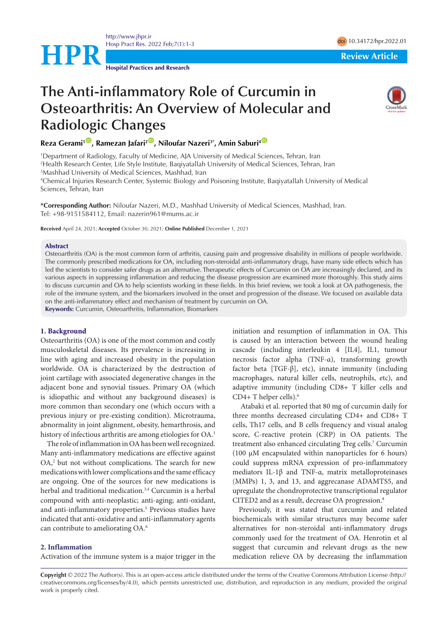<http://www.jhpr.ir> Hosp Pract Res. 2022 Feb;7(1):1-3 doi [10.34172/hpr.2022.01](https://doi.org/10.34172/hpr.2022.01)

**Hospital Practices and Research**

**HPR Review Article** 

# **The Anti-inflammatory Role of Curcumin in Osteoarthritis: An Overview of Molecular and Radiologic Changes**



**Reza Gerami<sup>1</sup><sup>(D</sup>, Ramezan Jafari<sup>2</sup><sup>(D</sup>, Niloufar Nazeri<sup>3\*</sup>, Amin Saburi<sup>4</sub> <sup>O</sup>**</sup>

1 Department of Radiology, Faculty of Medicine, AJA University of Medical Sciences, Tehran, Iran 2 Health Research Center, Life Style Institute, Baqiyatallah University of Medical Sciences, Tehran, Iran 3 Mashhad University of Medical Sciences, Mashhad, Iran

4 Chemical Injuries Research Center, Systemic Biology and Poisoning Institute, Baqiyatallah University of Medical Sciences, Tehran, Iran

**\*Corresponding Author:** Niloufar Nazeri, M.D., Mashhad University of Medical Sciences, Mashhad, Iran. Tel: +98-9151584112, Email: nazerin961@mums.ac.ir

**Received** April 24, 2021; **Accepted** October 30, 2021; **Online Published** December 1, 2021

#### **Abstract**

Osteoarthritis (OA) is the most common form of arthritis, causing pain and progressive disability in millions of people worldwide. The commonly prescribed medications for OA, including non-steroidal anti-inflammatory drugs, have many side effects which has led the scientists to consider safer drugs as an alternative. Therapeutic effects of Curcumin on OA are increasingly declared, and its various aspects in suppressing inflammation and reducing the disease progression are examined more thoroughly. This study aims to discuss curcumin and OA to help scientists working in these fields. In this brief review, we took a look at OA pathogenesis, the role of the immune system, and the biomarkers involved in the onset and progression of the disease. We focused on available data on the anti-inflammatory effect and mechanism of treatment by curcumin on OA.

**Keywords:** Curcumin, Osteoarthritis, Inflammation, Biomarkers

### **1. Background**

Osteoarthritis (OA) is one of the most common and costly musculoskeletal diseases. Its prevalence is increasing in line with aging and increased obesity in the population worldwide. OA is characterized by the destruction of joint cartilage with associated degenerative changes in the adjacent bone and synovial tissues. Primary OA (which is idiopathic and without any background diseases) is more common than secondary one (which occurs with a previous injury or pre-existing condition). Microtrauma, abnormality in joint alignment, obesity, hemarthrosis, and history of infectious arthritis are among etiologies for OA.<sup>1</sup>

The role of inflammation in OA has been well recognized. Many anti-inflammatory medications are effective against OA,<sup>2</sup> but not without complications. The search for new medications with lower complications and the same efficacy are ongoing. One of the sources for new medications is herbal and traditional medication.<sup>3,4</sup> Curcumin is a herbal compound with anti-neoplastic; anti-aging; anti-oxidant, and anti-inflammatory properties.<sup>5</sup> Previous studies have indicated that anti-oxidative and anti-inflammatory agents can contribute to ameliorating OA.6

## **2. Inflammation**

Activation of the immune system is a major trigger in the

initiation and resumption of inflammation in OA. This is caused by an interaction between the wound healing cascade (including interleukin 4 [IL4], IL1, tumour necrosis factor alpha (TNF-α), transforming growth factor beta  $[TGF- $\beta$ ], etc), in the  
number of  $\beta$$ macrophages, natural killer cells, neutrophils, etc), and adaptive immunity (including CD8+ T killer cells and CD4+ T helper cells).6

 Atabaki et al. reported that 80 mg of curcumin daily for three months decreased circulating CD4+ and CD8+ T cells, Th17 cells, and B cells frequency and visual analog score, C-reactive protein (CRP) in OA patients. The treatment also enhanced circulating Treg cells.7 Curcumin (100 μM encapsulated within nanoparticles for 6 hours) could suppress mRNA expression of pro-inflammatory mediators IL-1β and TNF-α, matrix metalloproteinases (MMPs) 1, 3, and 13, and aggrecanase ADAMTS5, and upregulate the chondroprotective transcriptional regulator CITED2 and as a result, decrease OA progression.8

Previously, it was stated that curcumin and related biochemicals with similar structures may become safer alternatives for non-steroidal anti-inflammatory drugs commonly used for the treatment of OA. Henrotin et al suggest that curcumin and relevant drugs as the new medication relieve OA by decreasing the inflammation

**Copyright** © 2022 The Author(s). This is an open-access article distributed under the terms of the Creative Commons Attribution License (http:// creativecommons.org/licenses/by/4.0), which permits unrestricted use, distribution, and reproduction in any medium, provided the original work is properly cited.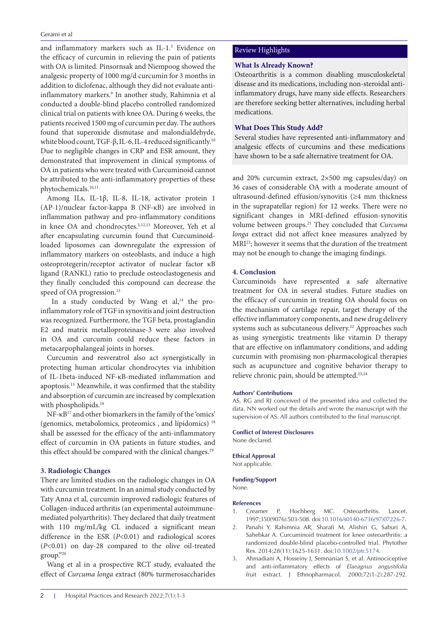and inflammatory markers such as IL-1.5 Evidence on the efficacy of curcumin in relieving the pain of patients with OA is limited. Pinsornsak and Niempoog showed the analgesic property of 1000 mg/d curcumin for 3 months in addition to diclofenac, although they did not evaluate antiinflammatory markers.9 In another study, Rahimnia et al conducted a double-blind placebo controlled randomized clinical trial on patients with knee OA. During 6 weeks, the patients received 1500 mg of curcumin per day. The authors found that superoxide dismutase and malondialdehyde, white blood count, TGF-β, IL-6, IL-4 reduced significantly.<sup>10</sup> Due to negligible changes in CRP and ESR amount, they demonstrated that improvement in clinical symptoms of OA in patients who were treated with Curcuminoid cannot be attributed to the anti-inflammatory properties of these phytochemicals.10,11

Among ILs, IL-1β, IL-8, IL-18, activator protein 1 (AP-1)/nuclear factor-kappa B (NF-κB) are involved in inflammation pathway and pro-inflammatory conditions in knee OA and chondrocytes.5,12,13 Moreover, Yeh et al after encapsulating curcumin found that Curcuminoidloaded liposomes can downregulate the expression of inflammatory markers on osteoblasts, and induce a high osteoprotegerin/receptor activator of nuclear factor κB ligand (RANKL) ratio to preclude osteoclastogenesis and they finally concluded this compound can decrease the speed of OA progression.<sup>13</sup>

In a study conducted by Wang et  $al$ ,<sup>14</sup> the proinflammatory role of TGF in synovitis and joint destruction was recognized. Furthermore, the TGF beta, prostaglandin E2 and matrix metalloproteinase-3 were also involved in OA and curcumin could reduce these factors in metacarpophalangeal joints in horses.

Curcumin and resveratrol also act synergistically in protecting human articular chondrocytes via inhibition of IL-1beta-induced NF-κB-mediated inflammation and apoptosis.15 Meanwhile, it was confirmed that the stability and absorption of curcumin are increased by complexation with phospholipids.<sup>16</sup>

NF-κB17 and other biomarkers in the family of the 'omics' (genomics, metabolomics, proteomics , and lipidomics) 18 shall be assessed for the efficacy of the anti-inflammatory effect of curcumin in OA patients in future studies, and this effect should be compared with the clinical changes.<sup>19</sup>

## **3. Radiologic Changes**

There are limited studies on the radiologic changes in OA with curcumin treatment. In an animal study conducted by Taty Anna et al, curcumin improved radiologic features of Collagen-induced arthritis (an experimental autoimmunemediated polyarthritis). They declared that daily treatment with 110 mg/mL/kg CL induced a significant mean difference in the ESR (*P*<0.01) and radiological scores (*P*<0.01) on day-28 compared to the olive oil-treated group."20

Wang et al in a prospective RCT study, evaluated the effect of *Curcuma longa* extract (80% turmerosaccharides

# Review Highlights

# **What Is Already Known?**

Osteoarthritis is a common disabling musculoskeletal disease and its medications, including non-steroidal antiinflammatory drugs, have many side effects. Researchers are therefore seeking better alternatives, including herbal medications.

# **What Does This Study Add?**

Several studies have represented anti-inflammatory and analgesic effects of curcumins and these medications have shown to be a safe alternative treatment for OA.

and 20% curcumin extract, 2×500 mg capsules/day) on 36 cases of considerable OA with a moderate amount of ultrasound-defined effusion/synovitis (≥4 mm thickness in the suprapatellar region) for 12 weeks. There were no significant changes in MRI-defined effusion-synovitis volume between groups.21 They concluded that *Curcuma longa* extract did not affect knee measures analyzed by MRI21; however it seems that the duration of the treatment may not be enough to change the imaging findings.

## **4. Conclusion**

Curcuminoids have represented a safe alternative treatment for OA in several studies. Future studies on the efficacy of curcumin in treating OA should focus on the mechanism of cartilage repair, target therapy of the effective inflammatory components, and new drug delivery systems such as subcutaneous delivery.<sup>22</sup> Approaches such as using synergistic treatments like vitamin D therapy that are effective on inflammatory conditions, and adding curcumin with promising non-pharmacological therapies such as acupuncture and cognitive behavior therapy to relieve chronic pain, should be attempted.23,24

#### **Authors' Contributions**

AS, RG and RJ conceived of the presented idea and collected the data. NN worked out the details and wrote the manuscript with the supervision of AS. All authors contributed to the final manuscript.

#### **Conflict of Interest Disclosures**

None declared.

### **Ethical Approval**

Not applicable.

#### **Funding/Support**

None.

#### **References**

- 1. Creamer P, Hochberg MC. Osteoarthritis. Lancet. 1997;350(9076):503-508. doi[:10.1016/s0140-6736\(97\)07226-7](https://doi.org/10.1016/s0140-6736(97)07226-7).
- 2. Panahi Y, Rahimnia AR, Sharafi M, Alishiri G, Saburi A, Sahebkar A. Curcuminoid treatment for knee osteoarthritis: a randomized double-blind placebo-controlled trial. Phytother Res. 2014;28(11):1625-1631. doi:[10.1002/ptr.5174.](https://doi.org/10.1002/ptr.5174)
- 3. Ahmadiani A, Hosseiny J, Semnanian S, et al. Antinociceptive and anti-inflammatory effects of *Elaeagnus angustifolia* fruit extract. J Ethnopharmacol. 2000;72(1-2):287-292.